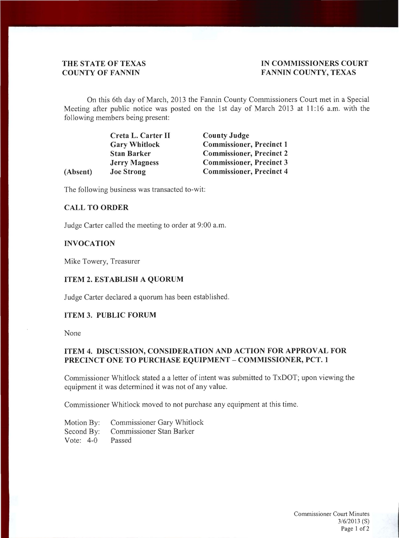#### THE STATE OF TEXAS **IN COMMISSIONERS COURT COUNTY OF FANNIN FANNIN COUNTY, TEXAS**

On this 6th day of March, 2013 the Fannin County Commissioners Court met in a Special Meeting after public notice was posted on the 1st day of March 2013 at **11 :**16 a.m. with the following members being present:

|          | Creta L. Carter II   | <b>County Judge</b>             |  |
|----------|----------------------|---------------------------------|--|
|          | <b>Gary Whitlock</b> | <b>Commissioner, Precinct 1</b> |  |
|          | <b>Stan Barker</b>   | <b>Commissioner, Precinct 2</b> |  |
|          | <b>Jerry Magness</b> | <b>Commissioner, Precinct 3</b> |  |
| (Absent) | <b>Joe Strong</b>    | <b>Commissioner, Precinct 4</b> |  |
|          |                      |                                 |  |

The following business was transacted to-wit:

# **CALL TO ORDER**

Judge Carter called the meeting to order at 9:00 a.m.

#### **INVOCATION**

Mike Towery, Treasurer

#### **ITEM 2. ESTABLISH A QUORUM**

Judge Carter declared a quorum has been established.

# **ITEM 3. PUBLIC FORUM**

None

# **ITEM 4. DISCUSSION, CONSIDERATION AND ACTION FOR APPROVAL FOR PRECINCT ONE TO PURCHASE EQUIPMENT - COMMISSIONER, PCT. 1**

Commissioner Whitlock stated a a letter of intent was submitted to TxDOT; upon viewing the equipment it was determined it was not of any value.

Commissioner Whitlock moved to not purchase any equipment at this time.

| Motion By:  | Commissioner Gary Whitlock          |
|-------------|-------------------------------------|
|             | Second By: Commissioner Stan Barker |
| Vote: $4-0$ | Passed                              |